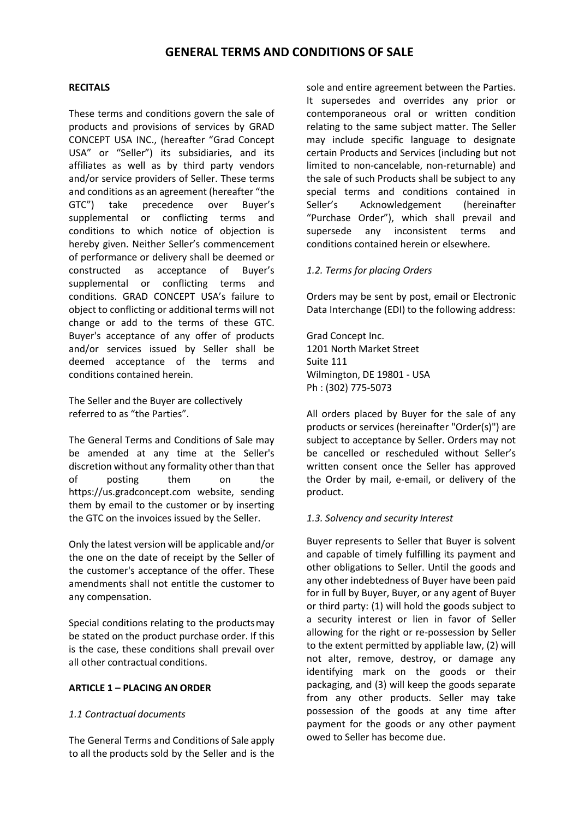## **RECITALS**

These terms and conditions govern the sale of products and provisions of services by GRAD CONCEPT USA INC., (hereafter "Grad Concept USA" or "Seller") its subsidiaries, and its affiliates as well as by third party vendors and/or service providers of Seller. These terms and conditions as an agreement (hereafter "the GTC") take precedence over Buyer's supplemental or conflicting terms and conditions to which notice of objection is hereby given. Neither Seller's commencement of performance or delivery shall be deemed or constructed as acceptance of Buyer's supplemental or conflicting terms and conditions. GRAD CONCEPT USA's failure to object to conflicting or additional terms will not change or add to the terms of these GTC. Buyer's acceptance of any offer of products and/or services issued by Seller shall be deemed acceptance of the terms and conditions contained herein.

The Seller and the Buyer are collectively referred to as "the Parties".

The General Terms and Conditions of Sale may be amended at any time at the Seller's discretion without any formality other than that of posting them on the https://us.gradconcept.com website, sending them by email to the customer or by inserting the GTC on the invoices issued by the Seller.

Only the latest version will be applicable and/or the one on the date of receipt by the Seller of the customer's acceptance of the offer. These amendments shall not entitle the customer to any compensation.

Special conditions relating to the productsmay be stated on the product purchase order. If this is the case, these conditions shall prevail over all other contractual conditions.

#### **ARTICLE 1 – PLACING AN ORDER**

# *1.1 Contractual documents*

The General Terms and Conditions of Sale apply to all the products sold by the Seller and is the sole and entire agreement between the Parties. It supersedes and overrides any prior or contemporaneous oral or written condition relating to the same subject matter. The Seller may include specific language to designate certain Products and Services (including but not limited to non-cancelable, non-returnable) and the sale of such Products shall be subject to any special terms and conditions contained in Seller's Acknowledgement (hereinafter "Purchase Order"), which shall prevail and supersede any inconsistent terms and conditions contained herein or elsewhere.

# *1.2. Terms for placing Orders*

Orders may be sent by post, email or Electronic Data Interchange (EDI) to the following address:

Grad Concept Inc. 1201 North Market Street Suite 111 Wilmington, DE 19801 - USA Ph : (302) 775-5073

All orders placed by Buyer for the sale of any products or services (hereinafter "Order(s)") are subject to acceptance by Seller. Orders may not be cancelled or rescheduled without Seller's written consent once the Seller has approved the Order by mail, e-email, or delivery of the product.

#### *1.3. Solvency and security Interest*

Buyer represents to Seller that Buyer is solvent and capable of timely fulfilling its payment and other obligations to Seller. Until the goods and any other indebtedness of Buyer have been paid for in full by Buyer, Buyer, or any agent of Buyer or third party: (1) will hold the goods subject to a security interest or lien in favor of Seller allowing for the right or re-possession by Seller to the extent permitted by appliable law, (2) will not alter, remove, destroy, or damage any identifying mark on the goods or their packaging, and (3) will keep the goods separate from any other products. Seller may take possession of the goods at any time after payment for the goods or any other payment owed to Seller has become due.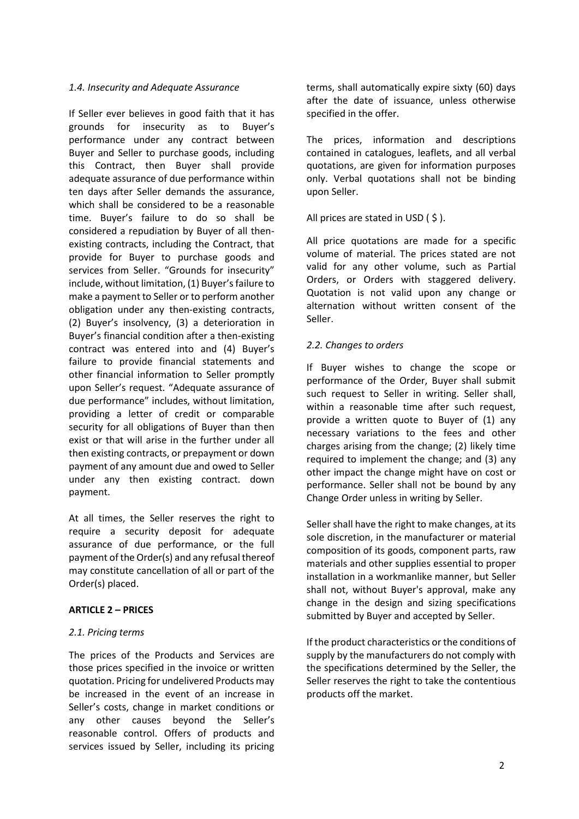## *1.4. Insecurity and Adequate Assurance*

If Seller ever believes in good faith that it has grounds for insecurity as to Buyer's performance under any contract between Buyer and Seller to purchase goods, including this Contract, then Buyer shall provide adequate assurance of due performance within ten days after Seller demands the assurance, which shall be considered to be a reasonable time. Buyer's failure to do so shall be considered a repudiation by Buyer of all thenexisting contracts, including the Contract, that provide for Buyer to purchase goods and services from Seller. "Grounds for insecurity" include, without limitation, (1) Buyer's failure to make a payment to Seller or to perform another obligation under any then-existing contracts, (2) Buyer's insolvency, (3) a deterioration in Buyer's financial condition after a then-existing contract was entered into and (4) Buyer's failure to provide financial statements and other financial information to Seller promptly upon Seller's request. "Adequate assurance of due performance" includes, without limitation, providing a letter of credit or comparable security for all obligations of Buyer than then exist or that will arise in the further under all then existing contracts, or prepayment or down payment of any amount due and owed to Seller under any then existing contract. down payment.

At all times, the Seller reserves the right to require a security deposit for adequate assurance of due performance, or the full payment of the Order(s) and any refusal thereof may constitute cancellation of all or part of the Order(s) placed.

# **ARTICLE 2 – PRICES**

#### *2.1. Pricing terms*

The prices of the Products and Services are those prices specified in the invoice or written quotation. Pricing for undelivered Products may be increased in the event of an increase in Seller's costs, change in market conditions or any other causes beyond the Seller's reasonable control. Offers of products and services issued by Seller, including its pricing terms, shall automatically expire sixty (60) days after the date of issuance, unless otherwise specified in the offer.

The prices, information and descriptions contained in catalogues, leaflets, and all verbal quotations, are given for information purposes only. Verbal quotations shall not be binding upon Seller.

All prices are stated in USD  $($  \$  $).$ 

All price quotations are made for a specific volume of material. The prices stated are not valid for any other volume, such as Partial Orders, or Orders with staggered delivery. Quotation is not valid upon any change or alternation without written consent of the Seller.

## *2.2. Changes to orders*

If Buyer wishes to change the scope or performance of the Order, Buyer shall submit such request to Seller in writing. Seller shall, within a reasonable time after such request, provide a written quote to Buyer of (1) any necessary variations to the fees and other charges arising from the change; (2) likely time required to implement the change; and (3) any other impact the change might have on cost or performance. Seller shall not be bound by any Change Order unless in writing by Seller.

Seller shall have the right to make changes, at its sole discretion, in the manufacturer or material composition of its goods, component parts, raw materials and other supplies essential to proper installation in a workmanlike manner, but Seller shall not, without Buyer's approval, make any change in the design and sizing specifications submitted by Buyer and accepted by Seller.

If the product characteristics or the conditions of supply by the manufacturers do not comply with the specifications determined by the Seller, the Seller reserves the right to take the contentious products off the market.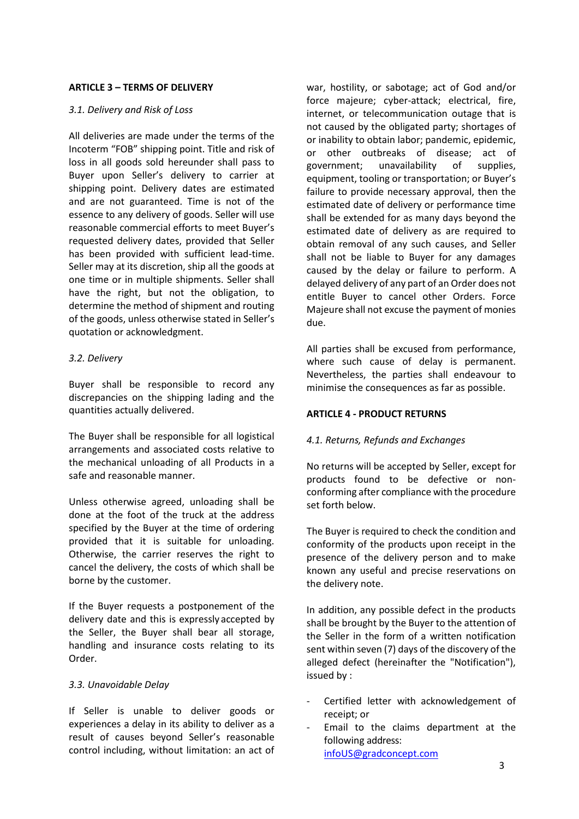## **ARTICLE 3 – TERMS OF DELIVERY**

## *3.1. Delivery and Risk of Loss*

All deliveries are made under the terms of the Incoterm "FOB" shipping point. Title and risk of loss in all goods sold hereunder shall pass to Buyer upon Seller's delivery to carrier at shipping point. Delivery dates are estimated and are not guaranteed. Time is not of the essence to any delivery of goods. Seller will use reasonable commercial efforts to meet Buyer's requested delivery dates, provided that Seller has been provided with sufficient lead-time. Seller may at its discretion, ship all the goods at one time or in multiple shipments. Seller shall have the right, but not the obligation, to determine the method of shipment and routing of the goods, unless otherwise stated in Seller's quotation or acknowledgment.

## *3.2. Delivery*

Buyer shall be responsible to record any discrepancies on the shipping lading and the quantities actually delivered.

The Buyer shall be responsible for all logistical arrangements and associated costs relative to the mechanical unloading of all Products in a safe and reasonable manner.

Unless otherwise agreed, unloading shall be done at the foot of the truck at the address specified by the Buyer at the time of ordering provided that it is suitable for unloading. Otherwise, the carrier reserves the right to cancel the delivery, the costs of which shall be borne by the customer.

If the Buyer requests a postponement of the delivery date and this is expressly accepted by the Seller, the Buyer shall bear all storage, handling and insurance costs relating to its Order.

# *3.3. Unavoidable Delay*

If Seller is unable to deliver goods or experiences a delay in its ability to deliver as a result of causes beyond Seller's reasonable control including, without limitation: an act of war, hostility, or sabotage; act of God and/or force majeure; cyber-attack; electrical, fire, internet, or telecommunication outage that is not caused by the obligated party; shortages of or inability to obtain labor; pandemic, epidemic, or other outbreaks of disease; act of government; unavailability of supplies, equipment, tooling or transportation; or Buyer's failure to provide necessary approval, then the estimated date of delivery or performance time shall be extended for as many days beyond the estimated date of delivery as are required to obtain removal of any such causes, and Seller shall not be liable to Buyer for any damages caused by the delay or failure to perform. A delayed delivery of any part of an Order does not entitle Buyer to cancel other Orders. Force Majeure shall not excuse the payment of monies due.

All parties shall be excused from performance, where such cause of delay is permanent. Nevertheless, the parties shall endeavour to minimise the consequences as far as possible.

#### **ARTICLE 4 - PRODUCT RETURNS**

#### *4.1. Returns, Refunds and Exchanges*

No returns will be accepted by Seller, except for products found to be defective or nonconforming after compliance with the procedure set forth below.

The Buyer is required to check the condition and conformity of the products upon receipt in the presence of the delivery person and to make known any useful and precise reservations on the delivery note.

In addition, any possible defect in the products shall be brought by the Buyer to the attention of the Seller in the form of a written notification sent within seven (7) days of the discovery of the alleged defect (hereinafter the "Notification"), issued by :

- Certified letter with acknowledgement of receipt; or
- Email to the claims department at the following address: [infoUS@gradconcept.com](mailto:infoUS@gradconcept.com)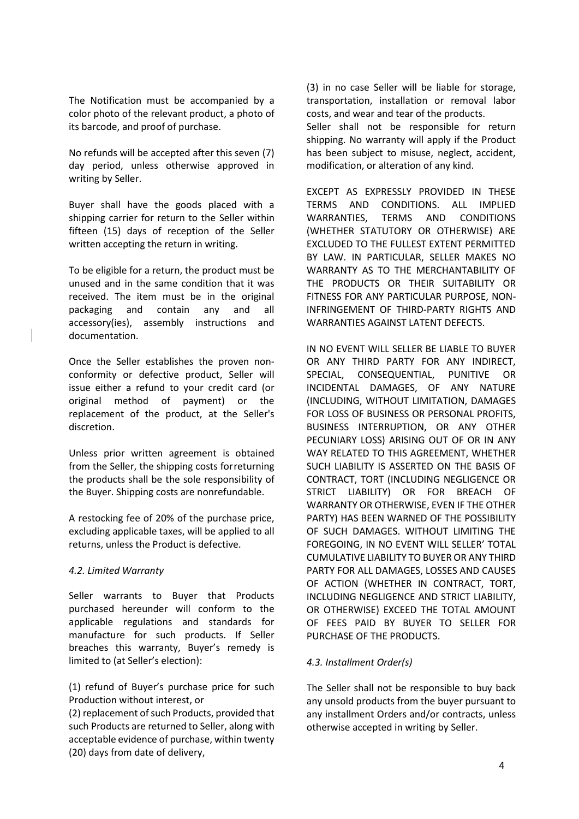The Notification must be accompanied by a color photo of the relevant product, a photo of its barcode, and proof of purchase.

No refunds will be accepted after this seven (7) day period, unless otherwise approved in writing by Seller.

Buyer shall have the goods placed with a shipping carrier for return to the Seller within fifteen (15) days of reception of the Seller written accepting the return in writing.

To be eligible for a return, the product must be unused and in the same condition that it was received. The item must be in the original packaging and contain any and all accessory(ies), assembly instructions and documentation.

Once the Seller establishes the proven nonconformity or defective product, Seller will issue either a refund to your credit card (or original method of payment) or the replacement of the product, at the Seller's discretion.

Unless prior written agreement is obtained from the Seller, the shipping costs forreturning the products shall be the sole responsibility of the Buyer. Shipping costs are nonrefundable.

A restocking fee of 20% of the purchase price, excluding applicable taxes, will be applied to all returns, unless the Product is defective.

#### *4.2. Limited Warranty*

Seller warrants to Buyer that Products purchased hereunder will conform to the applicable regulations and standards for manufacture for such products. If Seller breaches this warranty, Buyer's remedy is limited to (at Seller's election):

(1) refund of Buyer's purchase price for such Production without interest, or

(2) replacement of such Products, provided that such Products are returned to Seller, along with acceptable evidence of purchase, within twenty (20) days from date of delivery,

(3) in no case Seller will be liable for storage, transportation, installation or removal labor costs, and wear and tear of the products.

Seller shall not be responsible for return shipping. No warranty will apply if the Product has been subject to misuse, neglect, accident, modification, or alteration of any kind.

EXCEPT AS EXPRESSLY PROVIDED IN THESE TERMS AND CONDITIONS. ALL IMPLIED WARRANTIES, TERMS AND CONDITIONS (WHETHER STATUTORY OR OTHERWISE) ARE EXCLUDED TO THE FULLEST EXTENT PERMITTED BY LAW. IN PARTICULAR, SELLER MAKES NO WARRANTY AS TO THE MERCHANTABILITY OF THE PRODUCTS OR THEIR SUITABILITY OR FITNESS FOR ANY PARTICULAR PURPOSE, NON-INFRINGEMENT OF THIRD-PARTY RIGHTS AND WARRANTIES AGAINST LATENT DEFECTS.

IN NO EVENT WILL SELLER BE LIABLE TO BUYER OR ANY THIRD PARTY FOR ANY INDIRECT, SPECIAL, CONSEQUENTIAL, PUNITIVE OR INCIDENTAL DAMAGES, OF ANY NATURE (INCLUDING, WITHOUT LIMITATION, DAMAGES FOR LOSS OF BUSINESS OR PERSONAL PROFITS, BUSINESS INTERRUPTION, OR ANY OTHER PECUNIARY LOSS) ARISING OUT OF OR IN ANY WAY RELATED TO THIS AGREEMENT, WHETHER SUCH LIABILITY IS ASSERTED ON THE BASIS OF CONTRACT, TORT (INCLUDING NEGLIGENCE OR STRICT LIABILITY) OR FOR BREACH OF WARRANTY OR OTHERWISE, EVEN IF THE OTHER PARTY) HAS BEEN WARNED OF THE POSSIBILITY OF SUCH DAMAGES. WITHOUT LIMITING THE FOREGOING, IN NO EVENT WILL SELLER' TOTAL CUMULATIVE LIABILITY TO BUYER OR ANY THIRD PARTY FOR ALL DAMAGES, LOSSES AND CAUSES OF ACTION (WHETHER IN CONTRACT, TORT, INCLUDING NEGLIGENCE AND STRICT LIABILITY, OR OTHERWISE) EXCEED THE TOTAL AMOUNT OF FEES PAID BY BUYER TO SELLER FOR PURCHASE OF THE PRODUCTS.

#### *4.3. Installment Order(s)*

The Seller shall not be responsible to buy back any unsold products from the buyer pursuant to any installment Orders and/or contracts, unless otherwise accepted in writing by Seller.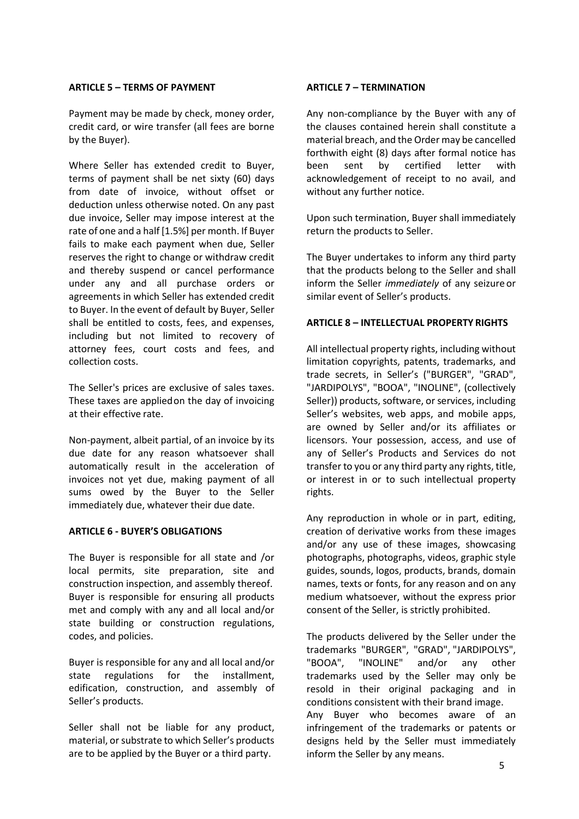#### **ARTICLE 5 – TERMS OF PAYMENT**

Payment may be made by check, money order, credit card, or wire transfer (all fees are borne by the Buyer).

Where Seller has extended credit to Buyer, terms of payment shall be net sixty (60) days from date of invoice, without offset or deduction unless otherwise noted. On any past due invoice, Seller may impose interest at the rate of one and a half [1.5%] per month. If Buyer fails to make each payment when due, Seller reserves the right to change or withdraw credit and thereby suspend or cancel performance under any and all purchase orders or agreements in which Seller has extended credit to Buyer. In the event of default by Buyer, Seller shall be entitled to costs, fees, and expenses, including but not limited to recovery of attorney fees, court costs and fees, and collection costs.

The Seller's prices are exclusive of sales taxes. These taxes are appliedon the day of invoicing at their effective rate.

Non-payment, albeit partial, of an invoice by its due date for any reason whatsoever shall automatically result in the acceleration of invoices not yet due, making payment of all sums owed by the Buyer to the Seller immediately due, whatever their due date.

#### **ARTICLE 6 - BUYER'S OBLIGATIONS**

The Buyer is responsible for all state and /or local permits, site preparation, site and construction inspection, and assembly thereof. Buyer is responsible for ensuring all products met and comply with any and all local and/or state building or construction regulations, codes, and policies.

Buyer is responsible for any and all local and/or state regulations for the installment, edification, construction, and assembly of Seller's products.

Seller shall not be liable for any product, material, or substrate to which Seller's products are to be applied by the Buyer or a third party.

### **ARTICLE 7 – TERMINATION**

Any non-compliance by the Buyer with any of the clauses contained herein shall constitute a material breach, and the Order may be cancelled forthwith eight (8) days after formal notice has been sent by certified letter with acknowledgement of receipt to no avail, and without any further notice.

Upon such termination, Buyer shall immediately return the products to Seller.

The Buyer undertakes to inform any third party that the products belong to the Seller and shall inform the Seller *immediately* of any seizure or similar event of Seller's products.

## **ARTICLE 8 – INTELLECTUAL PROPERTY RIGHTS**

All intellectual property rights, including without limitation copyrights, patents, trademarks, and trade secrets, in Seller's ("BURGER", "GRAD", "JARDIPOLYS", "BOOA", "INOLINE", (collectively Seller)) products, software, or services, including Seller's websites, web apps, and mobile apps, are owned by Seller and/or its affiliates or licensors. Your possession, access, and use of any of Seller's Products and Services do not transfer to you or any third party any rights, title, or interest in or to such intellectual property rights.

Any reproduction in whole or in part, editing, creation of derivative works from these images and/or any use of these images, showcasing photographs, photographs, videos, graphic style guides, sounds, logos, products, brands, domain names, texts or fonts, for any reason and on any medium whatsoever, without the express prior consent of the Seller, is strictly prohibited.

The products delivered by the Seller under the trademarks "BURGER", "GRAD", "JARDIPOLYS", "BOOA", "INOLINE" and/or any other trademarks used by the Seller may only be resold in their original packaging and in conditions consistent with their brand image. Any Buyer who becomes aware of an infringement of the trademarks or patents or designs held by the Seller must immediately inform the Seller by any means.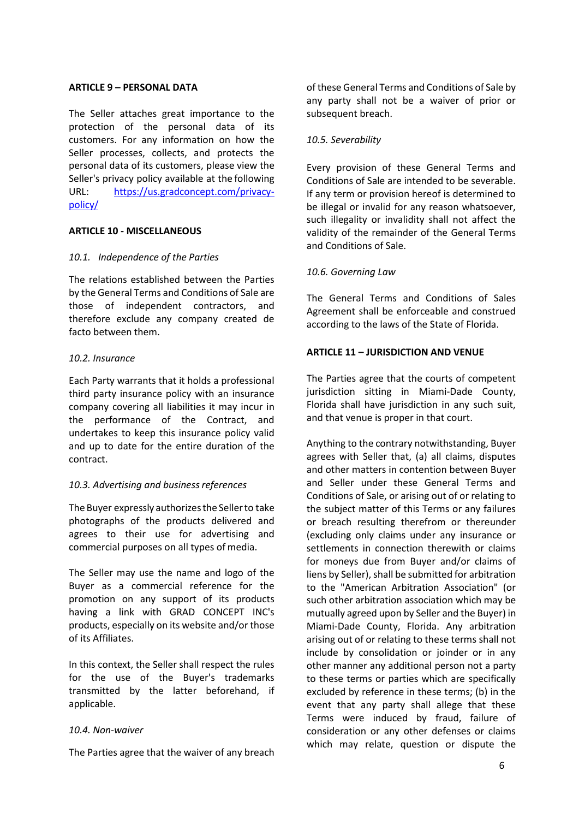### **ARTICLE 9 – PERSONAL DATA**

The Seller attaches great importance to the protection of the personal data of its customers. For any information on how the Seller processes, collects, and protects the personal data of its customers, please view the Seller's privacy policy available at the following URL: [https://us.gradconcept.com/privacy](https://us.gradconcept.com/privacy-policy/)[policy/](https://us.gradconcept.com/privacy-policy/)

## **ARTICLE 10 - MISCELLANEOUS**

## *10.1. Independence of the Parties*

The relations established between the Parties by the General Terms and Conditions of Sale are those of independent contractors, and therefore exclude any company created de facto between them.

## *10.2. Insurance*

Each Party warrants that it holds a professional third party insurance policy with an insurance company covering all liabilities it may incur in the performance of the Contract, and undertakes to keep this insurance policy valid and up to date for the entire duration of the contract.

# 10.3. Advertising and business references

The Buyer expressly authorizesthe Sellerto take photographs of the products delivered and agrees to their use for advertising and commercial purposes on all types of media.

The Seller may use the name and logo of the Buyer as a commercial reference for the promotion on any support of its products having a link with GRAD CONCEPT INC's products, especially on its website and/or those of its Affiliates.

In this context, the Seller shall respect the rules for the use of the Buyer's trademarks transmitted by the latter beforehand, if applicable.

#### *10.4. Non-waiver*

The Parties agree that the waiver of any breach

of these General Terms and Conditions of Sale by any party shall not be a waiver of prior or subsequent breach.

## *10.5. Severability*

Every provision of these General Terms and Conditions of Sale are intended to be severable. If any term or provision hereof is determined to be illegal or invalid for any reason whatsoever, such illegality or invalidity shall not affect the validity of the remainder of the General Terms and Conditions of Sale.

## *10.6. Governing Law*

The General Terms and Conditions of Sales Agreement shall be enforceable and construed according to the laws of the State of Florida.

## **ARTICLE 11 – JURISDICTION AND VENUE**

The Parties agree that the courts of competent jurisdiction sitting in Miami-Dade County, Florida shall have jurisdiction in any such suit, and that venue is proper in that court.

Anything to the contrary notwithstanding, Buyer agrees with Seller that, (a) all claims, disputes and other matters in contention between Buyer and Seller under these General Terms and Conditions of Sale, or arising out of or relating to the subject matter of this Terms or any failures or breach resulting therefrom or thereunder (excluding only claims under any insurance or settlements in connection therewith or claims for moneys due from Buyer and/or claims of liens by Seller), shall be submitted for arbitration to the "American Arbitration Association" (or such other arbitration association which may be mutually agreed upon by Seller and the Buyer) in Miami-Dade County, Florida. Any arbitration arising out of or relating to these terms shall not include by consolidation or joinder or in any other manner any additional person not a party to these terms or parties which are specifically excluded by reference in these terms; (b) in the event that any party shall allege that these Terms were induced by fraud, failure of consideration or any other defenses or claims which may relate, question or dispute the